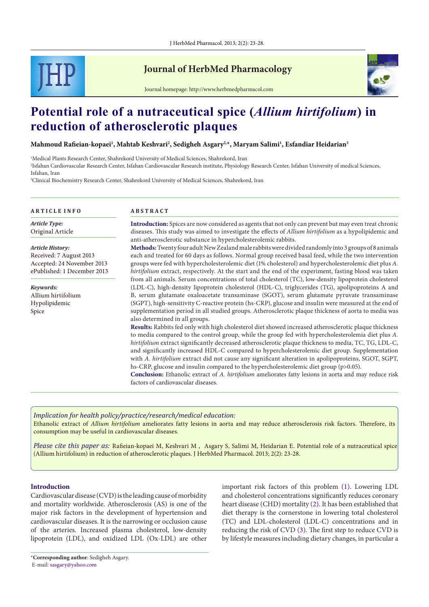

## **Journal of HerbMed Pharmacology**



Journal homepage: http://www.herbmedpharmacol.com

# **Potential role of a nutraceutical spice (***Allium hirtifolium***) in reduction of atherosclerotic plaques**

**Mahmoud Rafieian-kopaei1 , Mahtab Keshvari2 , Sedigheh Asgary2,\*, Maryam Salimi1 , Esfandiar Heidarian3**

1 Medical Plants Research Center, Shahrekord University of Medical Sciences, Shahrekord, Iran

2 Isfahan Cardiovascular Research Center, Isfahan Cardiovascular Research institute, Physiology Research Center, Isfahan University of medical Sciences, Isfahan, Iran

3 Clinical Biochemistry Research Center, Shahrekord University of Medical Sciences, Shahrekord, Iran

| <b>ARTICLE INFO</b>         | <b>ABSTRACT</b>                                                                                                                                                                                                 |  |  |
|-----------------------------|-----------------------------------------------------------------------------------------------------------------------------------------------------------------------------------------------------------------|--|--|
| <b>Article Type:</b>        | Introduction: Spices are now considered as agents that not only can prevent but may even treat chronic                                                                                                          |  |  |
| Original Article            | diseases. This study was aimed to investigate the effects of Allium hirtifolium as a hypolipidemic and                                                                                                          |  |  |
|                             | anti-atherosclerotic substance in hypercholesterolemic rabbits.                                                                                                                                                 |  |  |
| <b>Article History:</b>     | Methods: Twenty four adult New Zealand male rabbits were divided randomly into 3 groups of 8 animals                                                                                                            |  |  |
| Received: 7 August 2013     | each and treated for 60 days as follows. Normal group received basal feed, while the two intervention                                                                                                           |  |  |
| Accepted: 24 November 2013  | groups were fed with hypercholesterolemic diet (1% cholesterol) and hypercholesterolemic diet plus A.                                                                                                           |  |  |
| ePublished: 1 December 2013 | hirtifolium extract, respectively. At the start and the end of the experiment, fasting blood was taken<br>from all animals. Serum concentrations of total cholesterol (TC), low-density lipoprotein cholesterol |  |  |
| Keywords:                   | (LDL-C), high-density lipoprotein cholesterol (HDL-C), triglycerides (TG), apolipoproteins A and                                                                                                                |  |  |
| Allium hirtifolium          | B, serum glutamate oxaloacetate transaminase (SGOT), serum glutamate pyruvate transaminase                                                                                                                      |  |  |
| Hypolipidemic               | (SGPT), high-sensitivity C-reactive protein (hs-CRP), glucose and insulin were measured at the end of                                                                                                           |  |  |
| Spice                       | supplementation period in all studied groups. Atherosclerotic plaque thickness of aorta to media was<br>also determined in all groups.                                                                          |  |  |
|                             | Results: Rabbits fed only with high cholesterol diet showed increased atherosclerotic plaque thickness                                                                                                          |  |  |
|                             | to media compared to the control group, while the group fed with hypercholesterolemia diet plus A.                                                                                                              |  |  |
|                             | hirtifolium extract significantly decreased atherosclerotic plaque thickness to media, TC, TG, LDL-C,                                                                                                           |  |  |
|                             | and significantly increased HDL-C compared to hypercholesterolemic diet group. Supplementation                                                                                                                  |  |  |
|                             | with A. hirtifolium extract did not cause any significant alteration in apolipoproteins, SGOT, SGPT,                                                                                                            |  |  |
|                             | hs-CRP, glucose and insulin compared to the hypercholesterolemic diet group (p>0.05).                                                                                                                           |  |  |
|                             | Conclusion, Ethanolic ortrest of A hivtiblium ampliorates fetty logions in sorts and moy raduce right                                                                                                           |  |  |

**Conclusion:** Ethanolic extract of *A. hirtifolium* ameliorates fatty lesions in aorta and may reduce risk factors of cardiovascular diseases.

*Implication for health policy/practice/research/medical education:*

Ethanolic extract of *Allium hirtifolium* ameliorates fatty lesions in aorta and may reduce atherosclerosis risk factors. Therefore, its consumption may be useful in cardiovascular diseases.

*Please cite this paper as:* Rafieian-kopaei M, Keshvari M , Asgary S, Salimi M, Heidarian E. Potential role of a nutraceutical spice (Allium hirtifolium) in reduction of atherosclerotic plaques. J HerbMed Pharmacol. 2013; 2(2): 23-28.

## **Introduction**

Cardiovascular disease (CVD) is the leading cause of morbidity and mortality worldwide. Atherosclerosis (AS) is one of the major risk factors in the development of hypertension and cardiovascular diseases. It is the narrowing or occlusion cause of the arteries. Increased plasma cholesterol, low-density lipoprotein (LDL), and oxidized LDL (Ox-LDL) are other important risk factors of this problem [\(1](#page-4-0)). Lowering LDL and cholesterol concentrations significantly reduces coronary heart disease (CHD) mortality [\(2](#page-4-1)). It has been established that diet therapy is the cornerstone in lowering total cholesterol (TC) and LDL-cholesterol (LDL-C) concentrations and in reducing the risk of CVD [\(3\)](#page-4-2). The first step to reduce CVD is by lifestyle measures including dietary changes, in particular a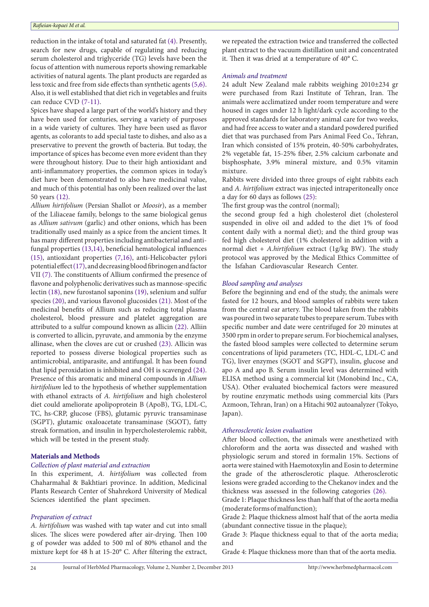reduction in the intake of total and saturated fat [\(4\)](#page-4-3). Presently, search for new drugs, capable of regulating and reducing serum cholesterol and triglyceride (TG) levels have been the focus of attention with numerous reports showing remarkable activities of natural agents. The plant products are regarded as less toxic and free from side effects than synthetic agents [\(5](#page-4-4)[,6](#page-4-5)). Also, it is well established that diet rich in vegetables and fruits can reduce CVD ([7](#page-4-6)[-11\)](#page-4-7).

Spices have shaped a large part of the world's history and they have been used for centuries, serving a variety of purposes in a wide variety of cultures. They have been used as flavor agents, as colorants to add special taste to dishes, and also as a preservative to prevent the growth of bacteria. But today, the importance of spices has become even more evident than they were throughout history. Due to their high antioxidant and anti-inflammatory properties, the common spices in today's diet have been demonstrated to also have medicinal value, and much of this potential has only been realized over the last 50 years ([12](#page-4-8)).

*Allium hirtifolium* (Persian Shallot or *Moosir*), as a member of the Liliaceae family, belongs to the same biological genus as *Allium sativum* (garlic) and other onions, which has been traditionally used mainly as a spice from the ancient times. It has many different properties including antibacterial and antifungal properties [\(13,](#page-4-9)[14\)](#page-4-10), beneficial hematological influences ([15\)](#page-4-11), antioxidant properties [\(7](#page-4-6)[,16\)](#page-4-12), anti-Helicobacter pylori potential effect (17), and decreasing blood fibrinogen and factor VII [\(7\)](#page-4-6). The constituents of Allium confirmed the presence of flavone and polyphenolic derivatives such as mannose-specific lectin [\(18](#page-4-13)), new furostanol saponins ([19](#page-4-14)), selenium and sulfur species [\(20\)](#page-4-15), and various flavonol glucosides ([21\)](#page-4-16). Most of the medicinal benefits of Allium such as reducing total plasma cholesterol, blood pressure and platelet aggregation are attributed to a sulfur compound known as allicin [\(22\)](#page-4-17). Alliin is converted to allicin, pyruvate, and ammonia by the enzyme allinase, when the cloves are cut or crushed [\(23\)](#page-4-18). Allicin was reported to possess diverse biological properties such as antimicrobial, antiparasite, and antifungal. It has been found that lipid peroxidation is inhibited and OH is scavenged ([24](#page-4-19)). Presence of this aromatic and mineral compounds in *Allium hirtifolium* led to the hypothesis of whether supplementation with ethanol extracts of *A. hirtifolium* and high cholesterol diet could ameliorate apolipoprotein B (ApoB), TG, LDL-C, TC, hs-CRP, glucose (FBS), glutamic pyruvic transaminase (SGPT), glutamic oxaloacetate transaminase (SGOT), fatty streak formation, and insulin in hypercholesterolemic rabbit, which will be tested in the present study.

## **Materials and Methods**

## *Collection of plant material and extraction*

In this experiment, *A. hirtifolium* was collected from Chaharmahal & Bakhtiari province. In addition, Medicinal Plants Research Center of Shahrekord University of Medical Sciences identified the plant specimen.

## *Preparation of extract*

*A. hirtifolium* was washed with tap water and cut into small slices. The slices were powdered after air-drying. Then 100 g of powder was added to 500 ml of 80% ethanol and the mixture kept for 48 h at 15-20° C. After filtering the extract, we repeated the extraction twice and transferred the collected plant extract to the vacuum distillation unit and concentrated it. Then it was dried at a temperature of 40° C.

#### *Animals and treatment*

24 adult New Zealand male rabbits weighing 2010±234 gr were purchased from Razi Institute of Tehran, Iran. The animals were acclimatized under room temperature and were housed in cages under 12 h light/dark cycle according to the approved standards for laboratory animal care for two weeks, and had free access to water and a standard powdered purified diet that was purchased from Pars Animal [Feed Co.](http://www.google.com/url?sa=t&rct=j&q=&esrc=s&frm=1&source=web&cd=3&cad=rja&ved=0CDIQFjAC&url=http%3A%2F%2Fwww.ameinfo.com%2Fdb-3395009.html&ei=FIxCUtXfGIOE4AS51oGAAw&usg=AFQjCNHCwBkebEoSF0icqD8cSBRYFUJSuw), Tehran, Iran which consisted of 15% protein, 40-50% carbohydrates, 2% vegetable fat, 15-25% fiber, 2.5% calcium carbonate and bisphosphate, 3.9% mineral mixture, and 0.5% vitamin mixture.

Rabbits were divided into three groups of eight rabbits each and *A. hirtifolium* extract was injected intraperitoneally once a day for 60 days as follows [\(25\)](#page-4-20):

The first group was the control (normal);

the second group fed a high cholesterol diet (cholesterol suspended in olive oil and added to the diet 1% of food content daily with a normal diet); and the third group was fed high cholesterol diet (1% cholesterol in addition with a normal diet + *A.hirtifolium* extract (1g/kg BW). The study protocol was approved by the Medical Ethics Committee of the Isfahan Cardiovascular Research Center.

### *Blood sampling and analyses*

Before the beginning and end of the study, the animals were fasted for 12 hours, and blood samples of rabbits were taken from the central ear artery. The blood taken from the rabbits was poured in two separate tubes to prepare serum. Tubes with specific number and date were centrifuged for 20 minutes at 3500 rpm in order to prepare serum. For biochemical analyses, the fasted blood samples were collected to determine serum concentrations of lipid parameters (TC, HDL-C, LDL-C and TG), liver enzymes (SGOT and SGPT), insulin, glucose and apo A and apo B. Serum insulin level was determined with ELISA method using a commercial kit (Monobind Inc., CA, USA). Other evaluated biochemical factors were measured by routine enzymatic methods using commercial kits (Pars Azmoon, Tehran, Iran) on a Hitachi 902 autoanalyzer (Tokyo, Japan).

## *Atherosclerotic lesion evaluation*

After blood collection, the animals were anesthetized with chloroform and the aorta was dissected and washed with physiologic serum and stored in formalin 15%. Sections of aorta were stained with Haemotoxylin and Eosin to determine the grade of the atherosclerotic plaque. Atherosclerotic lesions were graded according to the Chekanov index and the thickness was assessed in the following categories [\(26\)](#page-4-21).

Grade 1: Plaque thickness less than half that of the aorta media (moderate forms of malfunction);

Grade 2: Plaque thickness almost half that of the aorta media (abundant connective tissue in the plaque);

Grade 3: Plaque thickness equal to that of the aorta media; and

Grade 4: Plaque thickness more than that of the aorta media.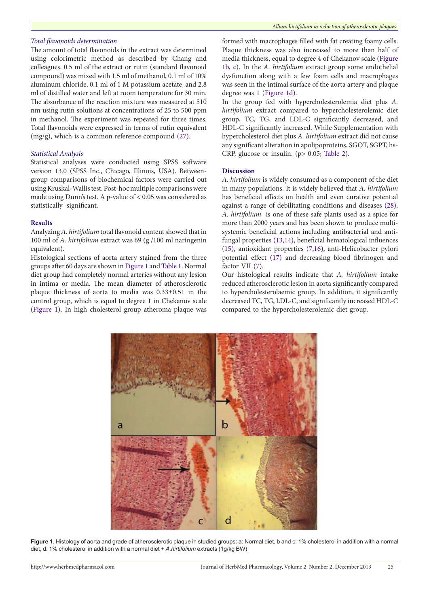#### *Total flavonoids determination*

The amount of total flavonoids in the extract was determined using colorimetric method as described by Chang and colleagues. 0.5 ml of the extract or rutin (standard flavonoid compound) was mixed with 1.5 ml of methanol, 0.1 ml of 10% aluminum chloride, 0.1 ml of 1 M potassium acetate, and 2.8 ml of distilled water and left at room temperature for 30 min. The absorbance of the reaction mixture was measured at 510 nm using rutin solutions at concentrations of 25 to 500 ppm in methanol. The experiment was repeated for three times. Total flavonoids were expressed in terms of rutin equivalent (mg/g), which is a common reference compound [\(27\)](#page-5-0).

## *Statistical Analysis*

Statistical analyses were conducted using SPSS software version 13.0 (SPSS Inc., Chicago, Illinois, USA). Betweengroup comparisons of biochemical factors were carried out using Kruskal-Wallis test. Post-hoc multiple comparisons were made using Dunn's test. A p*-*value of < 0.05 was considered as statistically significant.

#### **Results**

Analyzing *A. hirtifolium* total flavonoid content showed that in 100 ml of *A. hirtifolium* extract was 69 (g /100 ml naringenin equivalent).

Histological sections of aorta artery stained from the three groups after 60 days are shown in [Figure 1](#page-2-0) and Table 1. Normal diet group had completely normal arteries without any lesion in intima or media. The mean diameter of atherosclerotic plaque thickness of aorta to media was 0.33±0.51 in the control group, which is equal to degree 1 in Chekanov scale ([Figure 1](#page-2-0)). In high cholesterol group atheroma plaque was formed with macrophages filled with fat creating foamy cells. Plaque thickness was also increased to more than half of media thickness, equal to degree 4 of Chekanov scale ([Figure](#page-2-0)  [1b, c\)](#page-2-0). In the *A. hirtifolium* extract group some endothelial dysfunction along with a few foam cells and macrophages was seen in the intimal surface of the aorta artery and plaque degree was 1 ([Figure 1d\)](#page-2-0).

In the group fed with hypercholesterolemia diet plus *A. hirtifolium* extract compared to hypercholesterolemic diet group, TC, TG, and LDL-C significantly decreased, and HDL-C significantly increased. While Supplementation with hypercholesterol diet plus *A. hirtifolium* extract did not cause any significant alteration in apolipoproteins, SGOT, SGPT, hs-CRP, glucose or insulin. (p> 0.05; Table 2).

#### **Discussion**

*A. hirtifolium* is widely consumed as a component of the diet in many populations. It is widely believed that *A. hirtifolium* has beneficial effects on health and even curative potential against a range of debilitating conditions and diseases [\(28\)](#page-5-1). *A. hirtifolium* is one of these safe plants used as a spice for more than 2000 years and has been shown to produce multisystemic beneficial actions including antibacterial and antifungal properties ([13](#page-4-9),[14](#page-4-10)), beneficial hematological influences ([15](#page-4-11)), antioxidant properties ([7](#page-4-6),[16](#page-4-12)), anti-Helicobacter pylori potential effect [\(17\)](#page-4-22) and decreasing blood fibrinogen and factor VII [\(7](#page-4-6)).

Our histological results indicate that *A. hirtifolium* intake reduced atherosclerotic lesion in aorta significantly compared to hypercholesterolaemic group. In addition, it significantly decreased TC, TG, LDL-C, and significantly increased HDL-C compared to the hypercholesterolemic diet group.

<span id="page-2-0"></span>

**Figure 1**. Histology of aorta and grade of atherosclerotic plaque in studied groups: a: Normal diet, b and c: 1% cholesterol in addition with a normal diet, d: 1% cholesterol in addition with a normal diet + *A.hirtifolium* extracts (1g/kg BW)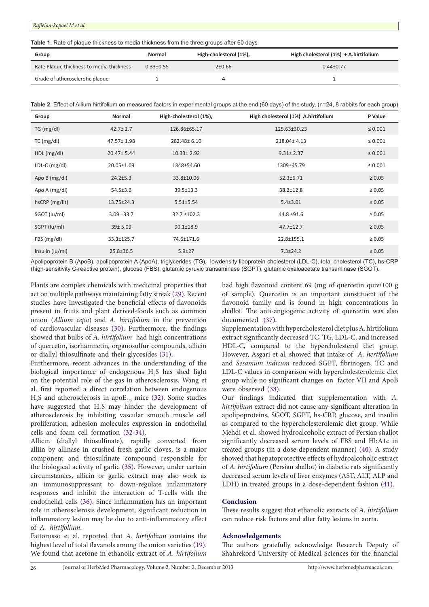*Rafieian-kopaei M et al.*

**Table 1.** Rate of plaque thickness to media thickness from the three groups after 60 days

| Group                                    | Normal          | High-cholesterol (1%), | High cholesterol $(1%) + A$ . hirtifolium |
|------------------------------------------|-----------------|------------------------|-------------------------------------------|
| Rate Plaque thickness to media thickness | $0.33 \pm 0.55$ | 2±0.66                 | $0.44 \pm 0.77$                           |
| Grade of atherosclerotic plaque          |                 |                        |                                           |

| Table 2. Effect of Allium hirtifolium on measured factors in experimental groups at the end (60 days) of the study, (n=24, 8 rabbits for each group) |  |  |  |
|------------------------------------------------------------------------------------------------------------------------------------------------------|--|--|--|
|------------------------------------------------------------------------------------------------------------------------------------------------------|--|--|--|

| Group           | Normal           | High-cholesterol (1%), | High cholesterol (1%) A.hirtifolium | P Value      |
|-----------------|------------------|------------------------|-------------------------------------|--------------|
| TG (mg/dl)      | $42.7 \pm 2.7$   | 126.86±65.17           | 125.63±30.23                        | $\leq 0.001$ |
| TC (mg/dl)      | 47.57± 1.98      | 282.48±6.10            | 218.04±4.13                         | $\leq 0.001$ |
| HDL(mg/dl)      | 20.47± 5.44      | $10.33 \pm 2.92$       | $9.31 \pm 2.37$                     | $\leq 0.001$ |
| LDL-C $(mg/d)$  | 20.05±1.09       | 1348±54.60             | 1309±45.79                          | $\leq 0.001$ |
| Apo B (mg/dl)   | $24.2 \pm 5.3$   | 33.8±10.06             | $52.3 \pm 6.71$                     | $\geq 0.05$  |
| Apo A (mg/dl)   | $54.5 \pm 3.6$   | 39.5±13.3              | $38.2 \pm 12.8$                     | $\geq 0.05$  |
| hsCRP (mg/lit)  | $13.75 \pm 24.3$ | $5.51 \pm 5.54$        | $5.4 \pm 3.01$                      | $\geq 0.05$  |
| SGOT (lu/ml)    | $3.09 + 33.7$    | $32.7 \pm 102.3$       | 44.8 ±91.6                          | $\geq 0.05$  |
| SGPT (lu/ml)    | 39± 5.09         | $90.1 \pm 18.9$        | $47.7 \pm 12.7$                     | $\geq 0.05$  |
| FBS (mg/dl)     | 33.3±125.7       | 74.6±171.6             | 22.8±155.1                          | $\geq 0.05$  |
| Insulin (Iu/ml) | $25.8 \pm 36.5$  | $5.9 \pm 27$           | $7.3 \pm 24.2$                      | $\geq 0.05$  |

Apolipoprotein B (ApoB), apolipoprotein A (ApoA), triglycerides (TG), lowdensity lipoprotein cholesterol (LDL-C), total cholesterol (TC), hs-CRP (high-sensitivity C-reactive protein), glucose (FBS), glutamic pyruvic transaminase (SGPT), glutamic oxaloacetate transaminase (SGOT).

Plants are complex chemicals with medicinal properties that act on multiple pathways maintaining fatty streak [\(29\)](#page-5-2). Recent studies have investigated the beneficial effects of flavonoids present in fruits and plant derived-foods such as common onion (*Allium cepa*) and *A. hirtifolium* in the prevention of cardiovascular diseases [\(30\)](#page-5-3). Furthermore, the findings showed that bulbs of *A. hirtifolium* had high concentrations of quercetin, isorhamnetin, organosulfur compounds, allicin or diallyl thiosulfinate and their glycosides ([31](#page-5-4)).

Furthermore, recent advances in the understanding of the biological importance of endogenous  $H_2S$  has shed light on the potential role of the gas in atherosclerosis. Wang et al. first reported a direct correlation between endogenous  $H_2$ S and atherosclerosis in apo $E_{2/2}$  mice ([32](#page-5-5)). Some studies have suggested that  $H_2S$  may hinder the development of atherosclerosis by inhibiting vascular smooth muscle cell proliferation, adhesion molecules expression in endothelial cells and foam cell formation [\(32-](#page-5-5)[34](#page-5-6)).

Allicin (diallyl thiosulfinate), rapidly converted from alliin by allinase in crushed fresh garlic cloves, is a major component and thiosulfinate compound responsible for the biological activity of garlic ([35](#page-5-7)). However, under certain circumstances, allicin or garlic extract may also work as an immunosuppressant to down-regulate inflammatory responses and inhibit the interaction of T-cells with the endothelial cells ([36](#page-5-8)). Since inflammation has an important role in atherosclerosis development, significant reduction in inflammatory lesion may be due to anti-inflammatory effect of *A. hirtifolium*.

Fattorusso et al. reported that *A. hirtifolium* contains the highest level of total flavanols among the onion varieties ([19](#page-4-14)). We found that acetone in ethanolic extract of *A. hirtifolium*  had high flavonoid content 69 (mg of quercetin quiv/100 g of sample). Quercetin is an important constituent of the flavonoid family and is found in high concentrations in shallot. The anti-angiogenic activity of quercetin was also documented ([37\)](#page-5-9).

Supplementation with hypercholesterol diet plus A. hirtifolium extract significantly decreased TC, TG, LDL-C, and increased HDL-C, compared to the hypercholesterol diet group. However, Asgari et al. showed that intake of *A. hertifolium* and *Sesamum indicum* reduced SGPT, fibrinogen, TC and LDL-C values in comparison with hypercholesterolemic diet group while no significant changes on factor VII and ApoB were observed [\(38\)](#page-5-10).

Our findings indicated that supplementation with *A. hirtifolium* extract did not cause any significant alteration in apolipoproteins, SGOT, SGPT, hs-CRP, glucose, and insulin as compared to the hypercholesterolemic diet group. While [Mehdi e](http://www.ncbi.nlm.nih.gov/pubmed?term=Mehdi M%5BAuthor%5D&cauthor=true&cauthor_uid=23455213)t al. showed hydroalcoholic extract of Persian shallot significantly decreased serum levels of FBS and HbA1c in treated groups (in a dose-dependent manner) [\(40\)](#page-5-11). A study showed that hepatoprotective effects of hydroalcoholic extract of *A. hirtifolium* (Persian shallot) in diabetic rats significantly decreased serum levels of liver enzymes (AST, ALT, ALP and LDH) in treated groups in a dose-dependent fashion [\(41\)](#page-5-12).

## **Conclusion**

These results suggest that ethanolic extracts of *A. hirtifolium*  can reduce risk factors and alter fatty lesions in aorta.

### **Acknowledgements**

The authors gratefully acknowledge Research Deputy of Shahrekord University of Medical Sciences for the financial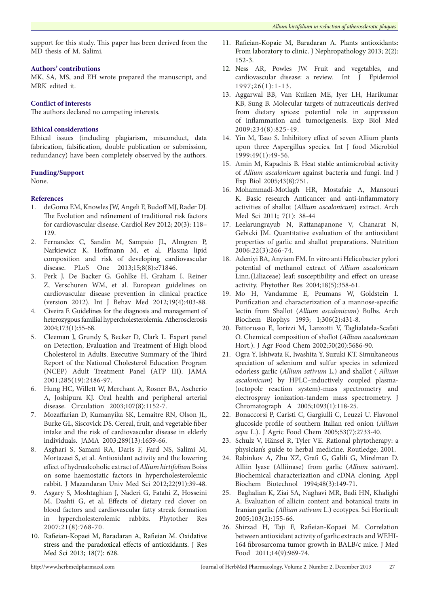support for this study. This paper has been derived from the MD thesis of M. Salimi.

## **Authors' contributions**

MK, SA, MS, and EH wrote prepared the manuscript, and MRK edited it.

## **Conflict of interests**

The authors declared no competing interests.

## **Ethical considerations**

Ethical issues (including plagiarism, misconduct, data fabrication, falsification, double publication or submission, redundancy) have been completely observed by the authors.

## **Funding/Support**

None.

## **References**

- <span id="page-4-0"></span>1. deGoma EM, Knowles JW, Angeli F, Budoff MJ, Rader DJ. The Evolution and refinement of traditional risk factors for cardiovascular disease. Cardiol Rev 2012; 20(3): 118– 129.
- <span id="page-4-1"></span>2. [Fernandez C](http://www.ncbi.nlm.nih.gov/pubmed?term=Fernandez C%5BAuthor%5D&cauthor=true&cauthor_uid=23967253), [Sandin M,](http://www.ncbi.nlm.nih.gov/pubmed?term=Sandin M%5BAuthor%5D&cauthor=true&cauthor_uid=23967253) [Sampaio JL,](http://www.ncbi.nlm.nih.gov/pubmed?term=Sampaio JL%5BAuthor%5D&cauthor=true&cauthor_uid=23967253) [Almgren P,](http://www.ncbi.nlm.nih.gov/pubmed?term=Almgren P%5BAuthor%5D&cauthor=true&cauthor_uid=23967253) Narkiewicz K, [Hoffmann M](http://www.ncbi.nlm.nih.gov/pubmed?term=Hoffmann M%5BAuthor%5D&cauthor=true&cauthor_uid=23967253), et al. Plasma lipid composition and risk of developing cardiovascular disease. [PLoS One](http://www.ncbi.nlm.nih.gov/pubmed/23967253) 2013;15;8(8):e71846.
- <span id="page-4-2"></span>3. Perk J, De Backer G, Gohlke H, Graham I, Reiner Z, Verschuren WM, et al. European guidelines on cardiovascular disease prevention in clinical practice (version 2012). Int J Behav Med 2012;19(4):403-88.
- <span id="page-4-3"></span>4. Civeira F. Guidelines for the diagnosis and management of heterozygous familial hypercholesterolemia. Atherosclerosis 2004;173(1):55-68.
- <span id="page-4-4"></span>5. Cleeman J, Grundy S, Becker D, Clark L. Expert panel on Detection, Evaluation and Treatment of High blood Cholesterol in Adults. Executive Summary of the Third Report of the National Cholesterol Education Program (NCEP) Adult Treatment Panel (ATP III). JAMA 2001;285(19):2486-97.
- <span id="page-4-5"></span>6. Hung HC, Willett W, Merchant A, Rosner BA, Ascherio A, Joshipura KJ. Oral health and peripheral arterial disease. Circulation 2003;107(8):1152-7.
- <span id="page-4-6"></span>7. Mozaffarian D, Kumanyika SK, Lemaitre RN, Olson JL, Burke GL, Siscovick DS. Cereal, fruit, and vegetable fiber intake and the risk of cardiovascular disease in elderly individuals. JAMA 2003;289(13):1659-66.
- 8. Asghari S, Samani RA, Daris F, Fard NS, Salimi M, Mortazaei S, et al. Antioxidant activity and the lowering effect of hydroalcoholic extract of *Allium hirtifolium* Boiss on some haemostatic factors in hypercholesterolemic rabbit. J Mazandaran Univ Med Sci 2012;22(91):39-48.
- 9. Asgary S, Moshtaghian J, Naderi G, Fatahi Z, Hosseini M, Dashti G, et al. Effects of dietary red clover on blood factors and cardiovascular fatty streak formation in hypercholesterolemic rabbits. Phytother Res 2007;21(8):768-70.
- 10. Rafieian-Kopaei M, Baradaran A, Rafieian M. Oxidative stress and the paradoxical effects of antioxidants. J Res Med Sci 2013; 18(7): 628.
- <span id="page-4-7"></span>11. Rafieian-Kopaie M, Baradaran A. Plants antioxidants: From laboratory to clinic. J Nephropathology 2013; 2(2): 152-3.
- <span id="page-4-8"></span>12. Ness AR, Powles JW. Fruit and vegetables, and cardiovascular disease: a review. Int J Epidemiol 1997;26(1):1-13.
- <span id="page-4-9"></span>13. Aggarwal BB, Van Kuiken ME, Iyer LH, Harikumar KB, Sung B. Molecular targets of nutraceuticals derived from dietary spices: potential role in suppression of inflammation and tumorigenesis. Exp Biol Med 2009;234(8):825-49.
- <span id="page-4-10"></span>14. Yin M, Tsao S. Inhibitory effect of seven Allium plants upon three Aspergillus species. Int J food Microbiol 1999;49(1):49-56.
- <span id="page-4-11"></span>15. Amin M, Kapadnis B. Heat stable antimicrobial activity of *Allium ascalonicum* against bacteria and fungi. Ind J Exp Biol 2005;43(8):751.
- <span id="page-4-12"></span>16. Mohammadi-Motlagh HR, Mostafaie A, Mansouri K. Basic research Anticancer and anti-inflammatory activities of shallot (*Allium ascalonicum*) extract. Arch Med Sci 2011; 7(1): 38-44
- <span id="page-4-22"></span>17. Leelarungrayub N, Rattanapanone V, Chanarat N, Gebicki JM. Quantitative evaluation of the antioxidant properties of garlic and shallot preparations. Nutrition 2006;22(3):266-74.
- <span id="page-4-13"></span>18. Adeniyi BA, Anyiam FM. In vitro anti Helicobacter pylori potential of methanol extract of *Allium ascalonicum* Linn.(Liliaceae) leaf: susceptibility and effect on urease activity. Phytother Res 2004;18(5):358-61.
- <span id="page-4-14"></span>19. Mo H, Vandamme E, Peumans W, Goldstein I. Purification and characterization of a mannose-specific lectin from Shallot (*Allium ascalonicum*) Bulbs. [Arch](http://www.ncbi.nlm.nih.gov/pubmed/8215447) [Biochem](http://www.ncbi.nlm.nih.gov/pubmed/8215447) Biophys 1993; 1;306(2):431-8.
- <span id="page-4-15"></span>20. Fattorusso E, Iorizzi M, Lanzotti V, Taglialatela-Scafati O. Chemical composition of shallot (*Allium ascalonicum* Hort.). J Agr Food Chem 2002;50(20):5686-90.
- <span id="page-4-16"></span>21. Ogra Y, Ishiwata K, Iwashita Y, Suzuki KT. Simultaneous speciation of selenium and sulfur species in selenized odorless garlic (*Allium sativum* L.) and shallot ( *Allium ascalonicum*) by HPLC–inductively coupled plasma- (octopole reaction system)-mass spectrometry and electrospray ionization-tandem mass spectrometry. J Chromatograph A 2005;1093(1):118-25.
- <span id="page-4-17"></span>22. Bonaccorsi P, Caristi C, Gargiulli C, Leuzzi U. Flavonol glucoside profile of southern Italian red onion (*Allium cepa* L.). J Agric Food Chem 2005;53(7):2733-40.
- <span id="page-4-18"></span>23. Schulz V, Hänsel R, Tyler VE. Rational phytotherapy: a physician's guide to herbal medicine. Routledge; 2001.
- <span id="page-4-19"></span>24. Rabinkov A, Zhu XZ, Grafi G, Galili G, Mirelman D. Alliin lyase (Alliinase) from garlic (*Allium sativum*). Biochemical characterization and cDNA cloning. [Appl](http://www.ncbi.nlm.nih.gov/pubmed/?term=Alliin+lyase+(Alliinase)+from+garlic+(Allium+sativum).+Biochemical+characterization+and+cDNA+cloning.) [Biochem Biotechnol](http://www.ncbi.nlm.nih.gov/pubmed/?term=Alliin+lyase+(Alliinase)+from+garlic+(Allium+sativum).+Biochemical+characterization+and+cDNA+cloning.) 1994;48(3):149-71.
- <span id="page-4-20"></span>25. Baghalian K, Ziai SA, Naghavi MR, Badi HN, Khalighi A. Evaluation of allicin content and botanical traits in Iranian garlic *(Allium sativum* L.) ecotypes. Sci Horticult 2005;103(2):155-66.
- <span id="page-4-21"></span>26. Shirzad H, Taji F, Rafieian-Kopaei M. Correlation between antioxidant activity of garlic extracts and WEHI-164 fibrosarcoma tumor growth in BALB/c mice. J Med Food 2011;14(9):969-74.